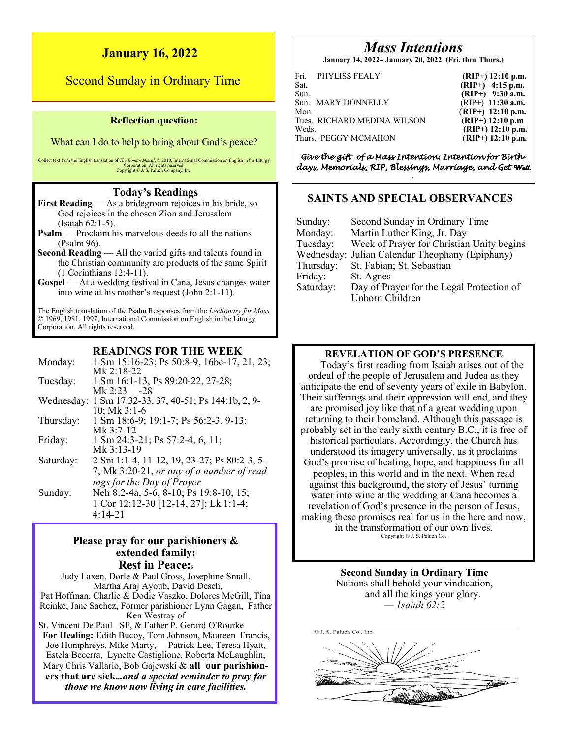## **January 16, 2022**

# Second Sunday in Ordinary Time

#### **Reflection question:**

What can I do to help to bring about God's peace?

Collect text from the English translation of *The Roman Missal*, © 2010, International Commission on English in the Liturgy Corporation. All rights reserved. Copyright © J. S. Paluch Company, Inc.

#### **Today's Readings**

**First Reading** — As a bridegroom rejoices in his bride, so God rejoices in the chosen Zion and Jerusalem (Isaiah 62:1-5).

- **Psalm** Proclaim his marvelous deeds to all the nations (Psalm 96).
- **Second Reading** All the varied gifts and talents found in the Christian community are products of the same Spirit (1 Corinthians 12:4-11).
- **Gospel** At a wedding festival in Cana, Jesus changes water into wine at his mother's request (John 2:1-11).

The English translation of the Psalm Responses from the *Lectionary for Mass*  © 1969, 1981, 1997, International Commission on English in the Liturgy Corporation. All rights reserved.

## **READINGS FOR THE WEEK**

| Monday:    | 1 Sm 15:16-23; Ps 50:8-9, 16bc-17, 21, 23;  |
|------------|---------------------------------------------|
|            | Mk $2:18-22$                                |
| Tuesday:   | 1 Sm 16:1-13; Ps 89:20-22, 27-28;           |
|            | Mk $2:23 - 28$                              |
| Wednesday: | 1 Sm 17:32-33, 37, 40-51; Ps 144:1b, 2, 9-  |
|            | $10$ ; Mk $3:1-6$                           |
| Thursday:  | 1 Sm 18:6-9; 19:1-7; Ps 56:2-3, 9-13;       |
|            | Mk $3:7-12$                                 |
| Friday:    | 1 Sm 24:3-21; Ps 57:2-4, 6, 11;             |
|            | Mk $3:13-19$                                |
| Saturday:  | 2 Sm 1:1-4, 11-12, 19, 23-27; Ps 80:2-3, 5- |
|            | 7; Mk 3:20-21, or any of a number of read   |
|            | ings for the Day of Prayer                  |
| Sunday:    | Neh 8:2-4a, 5-6, 8-10; Ps 19:8-10, 15;      |
|            | 1 Cor 12:12-30 [12-14, 27]; Lk 1:1-4;       |
|            | $4:14-21$                                   |
|            |                                             |

## **Please pray for our parishioners & extended family: Rest in Peace:<sup>5</sup>**

Judy Laxen, Dorle & Paul Gross, Josephine Small, Martha Araj Ayoub, David Desch, Pat Hoffman, Charlie & Dodie Vaszko, Dolores McGill, Tina Reinke, Jane Sachez, Former parishioner Lynn Gagan, Father Ken Westray of St. Vincent De Paul –SF, & Father P. Gerard O'Rourke **For Healing:** Edith Bucoy, Tom Johnson, Maureen Francis, Joe Humphreys, Mike Marty, Patrick Lee, Teresa Hyatt, Estela Becerra, Lynette Castiglione, Roberta McLaughlin,

Mary Chris Vallario, Bob Gajewski & **all our parishioners that are sick.***..and a special reminder to pray for those we know now living in care facilities.*

# *Mass Intentions*

**January 14, 2022– January 20, 2022 (Fri. thru Thurs.)**

| Sat.<br>Sun. | Fri. PHYLISS FEALY                                  | $(RIP+)$ 12:10 p.m.<br>$(RIP+)$ 4:15 p.m.<br>$(RIP+)$ 9:30 a.m.  |
|--------------|-----------------------------------------------------|------------------------------------------------------------------|
| Mon.         | Sun. MARY DONNELLY                                  | $(RIP+)$ 11:30 a.m.<br>$(RIP+)$ 12:10 p.m.                       |
| Weds.        | Tues. RICHARD MEDINA WILSON<br>Thurs. PEGGY MCMAHON | $(RIP+)$ 12:10 p.m<br>$(RIP+)$ 12:10 p.m.<br>$(RIP+)$ 12:10 p.m. |

*Give the gift of a Mass Intention. Intention for Birthdays, Memorials, RIP, Blessings, Marriage, and Get Well. .* 

## **SAINTS AND SPECIAL OBSERVANCES**

| Sunday:   | Second Sunday in Ordinary Time                  |
|-----------|-------------------------------------------------|
| Monday:   | Martin Luther King, Jr. Day                     |
| Tuesday:  | Week of Prayer for Christian Unity begins       |
|           | Wednesday: Julian Calendar Theophany (Epiphany) |
| Thursday: | St. Fabian; St. Sebastian                       |
| Friday:   | St. Agnes                                       |
| Saturday: | Day of Prayer for the Legal Protection of       |
|           | Unborn Children                                 |

## **REVELATION OF GOD'S PRESENCE**

Today's first reading from Isaiah arises out of the ordeal of the people of Jerusalem and Judea as they anticipate the end of seventy years of exile in Babylon. Their sufferings and their oppression will end, and they are promised joy like that of a great wedding upon returning to their homeland. Although this passage is probably set in the early sixth century B.C., it is free of historical particulars. Accordingly, the Church has understood its imagery universally, as it proclaims God's promise of healing, hope, and happiness for all peoples, in this world and in the next. When read against this background, the story of Jesus' turning water into wine at the wedding at Cana becomes a revelation of God's presence in the person of Jesus, making these promises real for us in the here and now, in the transformation of our own lives.

Copyright © J. S. Paluch Co.

**Second Sunday in Ordinary Time** Nations shall behold your vindication, and all the kings your glory. *— 1saiah 62:2*